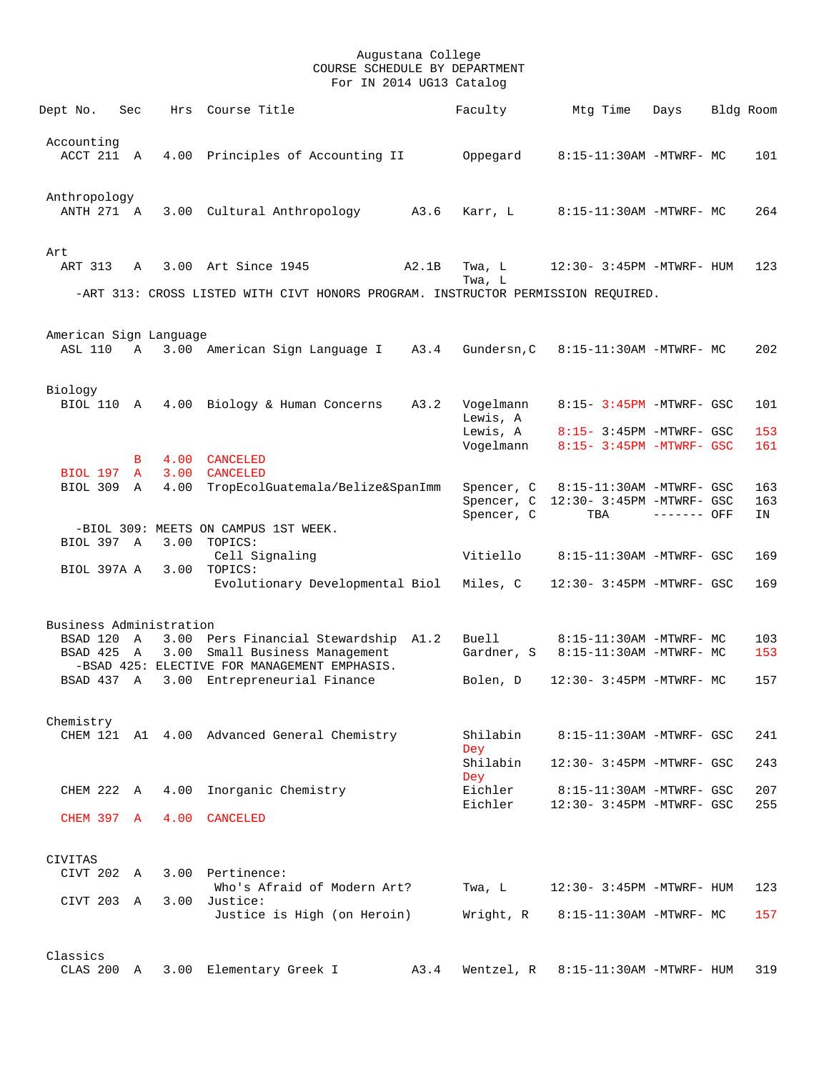| Dept No.                              | Sec         | Hrs  | Course Title                                                                     |       | Faculty                | Mtg Time                                             | Days        | Bldg Room |            |
|---------------------------------------|-------------|------|----------------------------------------------------------------------------------|-------|------------------------|------------------------------------------------------|-------------|-----------|------------|
| Accounting<br>ACCT 211 A              |             |      | 4.00 Principles of Accounting II                                                 |       | Oppegard               | 8:15-11:30AM -MTWRF- MC                              |             |           | 101        |
|                                       |             |      |                                                                                  |       |                        |                                                      |             |           |            |
| Anthropology<br>ANTH 271 A            |             |      | 3.00 Cultural Anthropology A3.6                                                  |       | Karr, L                | 8:15-11:30AM -MTWRF- MC                              |             |           | 264        |
| Art                                   |             |      |                                                                                  |       |                        |                                                      |             |           |            |
| ART 313                               | A           |      | 3.00 Art Since 1945                                                              | A2.1B | Twa, L<br>Twa, L       | 12:30- 3:45PM -MTWRF- HUM                            |             |           | 123        |
|                                       |             |      | -ART 313: CROSS LISTED WITH CIVT HONORS PROGRAM. INSTRUCTOR PERMISSION REQUIRED. |       |                        |                                                      |             |           |            |
|                                       |             |      |                                                                                  |       |                        |                                                      |             |           |            |
| American Sign Language<br>ASL 110     | $\mathbb A$ |      | 3.00 American Sign Language I A3.4                                               |       | Gundersn, C            | 8:15-11:30AM -MTWRF- MC                              |             |           | 202        |
|                                       |             |      |                                                                                  |       |                        |                                                      |             |           |            |
| Biology                               |             |      |                                                                                  |       |                        |                                                      |             |           |            |
| BIOL 110 A                            |             |      | 4.00 Biology & Human Concerns                                                    | A3.2  | Vogelmann<br>Lewis, A  | 8:15- 3:45PM -MTWRF- GSC                             |             |           | 101        |
|                                       |             |      |                                                                                  |       | Lewis, A<br>Vogelmann  | 8:15- 3:45PM -MTWRF- GSC<br>8:15- 3:45PM -MTWRF- GSC |             |           | 153<br>161 |
|                                       | B           |      | 4.00 CANCELED                                                                    |       |                        |                                                      |             |           |            |
| BIOL 197 A<br>BIOL 309 A              |             |      | 3.00 CANCELED<br>4.00 TropEcolGuatemala/Belize&SpanImm                           |       |                        | Spencer, C 8:15-11:30AM -MTWRF- GSC                  |             |           | 163        |
|                                       |             |      |                                                                                  |       |                        | Spencer, C 12:30- 3:45PM -MTWRF- GSC                 |             |           | 163        |
|                                       |             |      |                                                                                  |       | Spencer, C             | TBA                                                  | ------- OFF |           | IN         |
|                                       |             |      | -BIOL 309: MEETS ON CAMPUS 1ST WEEK.                                             |       |                        |                                                      |             |           |            |
| BIOL 397 A                            |             | 3.00 | TOPICS:<br>Cell Signaling                                                        |       | Vitiello               | 8:15-11:30AM -MTWRF- GSC                             |             |           | 169        |
| BIOL 397A A 3.00 TOPICS:              |             |      |                                                                                  |       |                        |                                                      |             |           |            |
|                                       |             |      | Evolutionary Developmental Biol                                                  |       | Miles, C               | 12:30- 3:45PM -MTWRF- GSC                            |             |           | 169        |
|                                       |             |      |                                                                                  |       |                        |                                                      |             |           |            |
| Business Administration<br>BSAD 120 A |             |      | 3.00 Pers Financial Stewardship A1.2                                             |       | Buell                  | 8:15-11:30AM -MTWRF- MC                              |             |           | 103        |
| BSAD 425 A                            |             | 3.00 | Small Business Management                                                        |       | Gardner, S             | 8:15-11:30AM -MTWRF- MC                              |             |           | 153        |
|                                       |             |      | -BSAD 425: ELECTIVE FOR MANAGEMENT EMPHASIS.                                     |       |                        |                                                      |             |           |            |
| BSAD 437 A                            |             |      | 3.00 Entrepreneurial Finance                                                     |       | Bolen, D               | 12:30- 3:45PM -MTWRF- MC                             |             |           | 157        |
| Chemistry                             |             |      |                                                                                  |       |                        |                                                      |             |           |            |
|                                       |             |      | CHEM 121 A1 4.00 Advanced General Chemistry                                      |       | Shilabin<br><b>Dey</b> | 8:15-11:30AM -MTWRF- GSC                             |             |           | 241        |
|                                       |             |      |                                                                                  |       | Shilabin               | 12:30- 3:45PM -MTWRF- GSC                            |             |           | 243        |
| CHEM 222 A                            |             | 4.00 | Inorganic Chemistry                                                              |       | <b>Dey</b><br>Eichler  | 8:15-11:30AM -MTWRF- GSC                             |             |           | 207        |
|                                       |             |      |                                                                                  |       | Eichler                | 12:30- 3:45PM -MTWRF- GSC                            |             |           | 255        |
| CHEM 397 A                            |             | 4.00 | CANCELED                                                                         |       |                        |                                                      |             |           |            |
|                                       |             |      |                                                                                  |       |                        |                                                      |             |           |            |
| CIVITAS<br>CIVT 202 A                 |             |      | 3.00 Pertinence:                                                                 |       |                        |                                                      |             |           |            |
|                                       |             |      | Who's Afraid of Modern Art?                                                      |       | Twa, L                 | 12:30- 3:45PM -MTWRF- HUM                            |             |           | 123        |
| CIVT 203 A                            |             |      | 3.00 Justice:                                                                    |       |                        |                                                      |             |           |            |
|                                       |             |      | Justice is High (on Heroin)                                                      |       | Wright, R              | 8:15-11:30AM -MTWRF- MC                              |             |           | 157        |
| Classics                              |             |      |                                                                                  |       |                        |                                                      |             |           |            |
| CLAS 200 A                            |             |      | 3.00 Elementary Greek I                                                          | A3.4  | Wentzel, R             | 8:15-11:30AM -MTWRF- HUM                             |             |           | 319        |
|                                       |             |      |                                                                                  |       |                        |                                                      |             |           |            |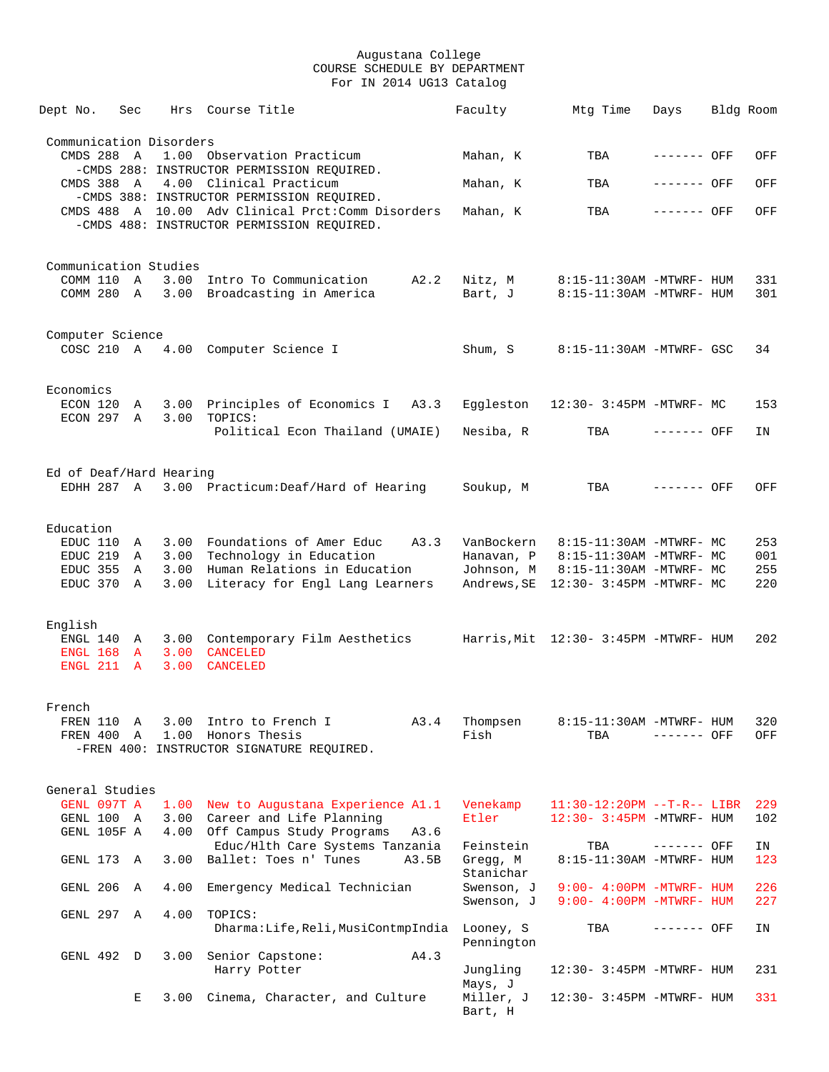| Dept No.                | Sec          |      | Hrs Course Title                                                                                 | Faculty                  | Mtg Time                                           | Days         | Bldg Room  |
|-------------------------|--------------|------|--------------------------------------------------------------------------------------------------|--------------------------|----------------------------------------------------|--------------|------------|
|                         |              |      |                                                                                                  |                          |                                                    |              |            |
| Communication Disorders |              |      |                                                                                                  |                          |                                                    |              |            |
| CMDS 288 A              |              |      | 1.00 Observation Practicum<br>-CMDS 288: INSTRUCTOR PERMISSION REQUIRED.                         | Mahan, K                 | TBA                                                | ------- OFF  | OFF        |
|                         |              |      | CMDS 388 A 4.00 Clinical Practicum                                                               | Mahan, K                 | TBA                                                | ------- OFF  | OFF        |
|                         |              |      | -CMDS 388: INSTRUCTOR PERMISSION REQUIRED.<br>CMDS 488 A 10.00 Adv Clinical Prct: Comm Disorders | Mahan, K                 | TBA                                                | $------$ OFF | OFF        |
|                         |              |      | -CMDS 488: INSTRUCTOR PERMISSION REQUIRED.                                                       |                          |                                                    |              |            |
|                         |              |      |                                                                                                  |                          |                                                    |              |            |
|                         |              |      |                                                                                                  |                          |                                                    |              |            |
| Communication Studies   |              |      | COMM 110 A 3.00 Intro To Communication A2.2                                                      | Nitz, M                  | 8:15-11:30AM -MTWRF- HUM                           |              | 331        |
|                         |              |      | COMM 280 A 3.00 Broadcasting in America                                                          | Bart, J                  | 8:15-11:30AM -MTWRF- HUM                           |              | 301        |
|                         |              |      |                                                                                                  |                          |                                                    |              |            |
|                         |              |      |                                                                                                  |                          |                                                    |              |            |
| Computer Science        |              |      | COSC 210 A 4.00 Computer Science I                                                               | Shum, S                  | 8:15-11:30AM -MTWRF- GSC                           |              | 34         |
|                         |              |      |                                                                                                  |                          |                                                    |              |            |
|                         |              |      |                                                                                                  |                          |                                                    |              |            |
| Economics               |              |      |                                                                                                  |                          |                                                    |              |            |
|                         |              |      | ECON 120 A 3.00 Principles of Economics I A3.3                                                   |                          | Eggleston 12:30- 3:45PM -MTWRF- MC                 |              | 153        |
| ECON 297 A              |              |      | 3.00 TOPICS:<br>Political Econ Thailand (UMAIE)                                                  | Nesiba, R                | TBA                                                | ------- OFF  | IN         |
|                         |              |      |                                                                                                  |                          |                                                    |              |            |
|                         |              |      |                                                                                                  |                          |                                                    |              |            |
| Ed of Deaf/Hard Hearing |              |      | EDHH 287 A 3.00 Practicum: Deaf/Hard of Hearing                                                  | Soukup, M                | TBA                                                | $-----$ OFF  | OFF        |
|                         |              |      |                                                                                                  |                          |                                                    |              |            |
|                         |              |      |                                                                                                  |                          |                                                    |              |            |
| Education               |              |      |                                                                                                  |                          |                                                    |              |            |
| EDUC 110 A              |              |      | 3.00 Foundations of Amer Educ A3.3                                                               | VanBockern               | 8:15-11:30AM -MTWRF- MC                            |              | 253        |
| EDUC 219 A              |              |      | 3.00 Technology in Education<br>EDUC 355 A 3.00 Human Relations in Education                     | Hanavan, P<br>Johnson, M | 8:15-11:30AM -MTWRF- MC<br>8:15-11:30AM -MTWRF- MC |              | 001<br>255 |
| EDUC 370 A              |              |      | 3.00 Literacy for Engl Lang Learners                                                             |                          | Andrews, SE 12:30- 3:45PM -MTWRF- MC               |              | 220        |
|                         |              |      |                                                                                                  |                          |                                                    |              |            |
|                         |              |      |                                                                                                  |                          |                                                    |              |            |
| English                 |              |      | ENGL 140 A 3.00 Contemporary Film Aesthetics Harris, Mit 12:30-3:45PM -MTWRF-HUM                 |                          |                                                    |              | 202        |
|                         |              |      | ENGL 168 A 3.00 CANCELED                                                                         |                          |                                                    |              |            |
|                         |              |      | ENGL 211 A 3.00 CANCELED                                                                         |                          |                                                    |              |            |
|                         |              |      |                                                                                                  |                          |                                                    |              |            |
| French                  |              |      |                                                                                                  |                          |                                                    |              |            |
| FREN 110                | Α            | 3.00 | A3.4<br>Intro to French I                                                                        | Thompsen                 | 8:15-11:30AM -MTWRF- HUM                           |              | 320        |
| FREN 400                | $\mathbb{A}$ | 1.00 | Honors Thesis                                                                                    | Fish                     | TBA                                                | ------- OFF  | OFF        |
|                         |              |      | -FREN 400: INSTRUCTOR SIGNATURE REQUIRED.                                                        |                          |                                                    |              |            |
|                         |              |      |                                                                                                  |                          |                                                    |              |            |
| General Studies         |              |      |                                                                                                  |                          |                                                    |              |            |
| GENL 097T A             |              | 1.00 | New to Augustana Experience A1.1                                                                 | Venekamp                 | $11:30-12:20PM --T-R-- LIBR$                       |              | 229        |
| GENL 100 A              |              |      | 3.00 Career and Life Planning                                                                    | Etler                    | $12:30 - 3:45PM - MTWRF - HUM$                     |              | 102        |
| GENL 105F A             |              |      | 4.00 Off Campus Study Programs<br>A3.6<br>Educ/Hlth Care Systems Tanzania                        | Feinstein                | TBA                                                | ------- OFF  | IN         |
| GENL 173 A              |              | 3.00 | Ballet: Toes n' Tunes<br>A3.5B                                                                   | Gregg, M                 | 8:15-11:30AM -MTWRF- HUM                           |              | 123        |
|                         |              |      |                                                                                                  | Stanichar                |                                                    |              |            |
| GENL 206                | Α            | 4.00 | Emergency Medical Technician                                                                     | Swenson, J               | $9:00-4:00PM -MTWRF-HUM$                           |              | 226        |
|                         |              |      |                                                                                                  | Swenson, J               | $9:00-4:00PM -MTWRF-HUM$                           |              | 227        |
| GENL 297 A              |              | 4.00 | TOPICS:<br>Dharma:Life,Reli,MusiContmpIndia                                                      | Looney, S                | TBA                                                | ------- OFF  | ΙN         |
|                         |              |      |                                                                                                  | Pennington               |                                                    |              |            |
| GENL 492 D              |              | 3.00 | Senior Capstone:<br>A4.3                                                                         |                          |                                                    |              |            |
|                         |              |      | Harry Potter                                                                                     | Jungling                 | 12:30- 3:45PM -MTWRF- HUM                          |              | 231        |
|                         | Е            | 3.00 | Cinema, Character, and Culture                                                                   | Mays, J<br>Miller, J     | 12:30- 3:45PM -MTWRF- HUM                          |              | 331        |
|                         |              |      |                                                                                                  | Bart, H                  |                                                    |              |            |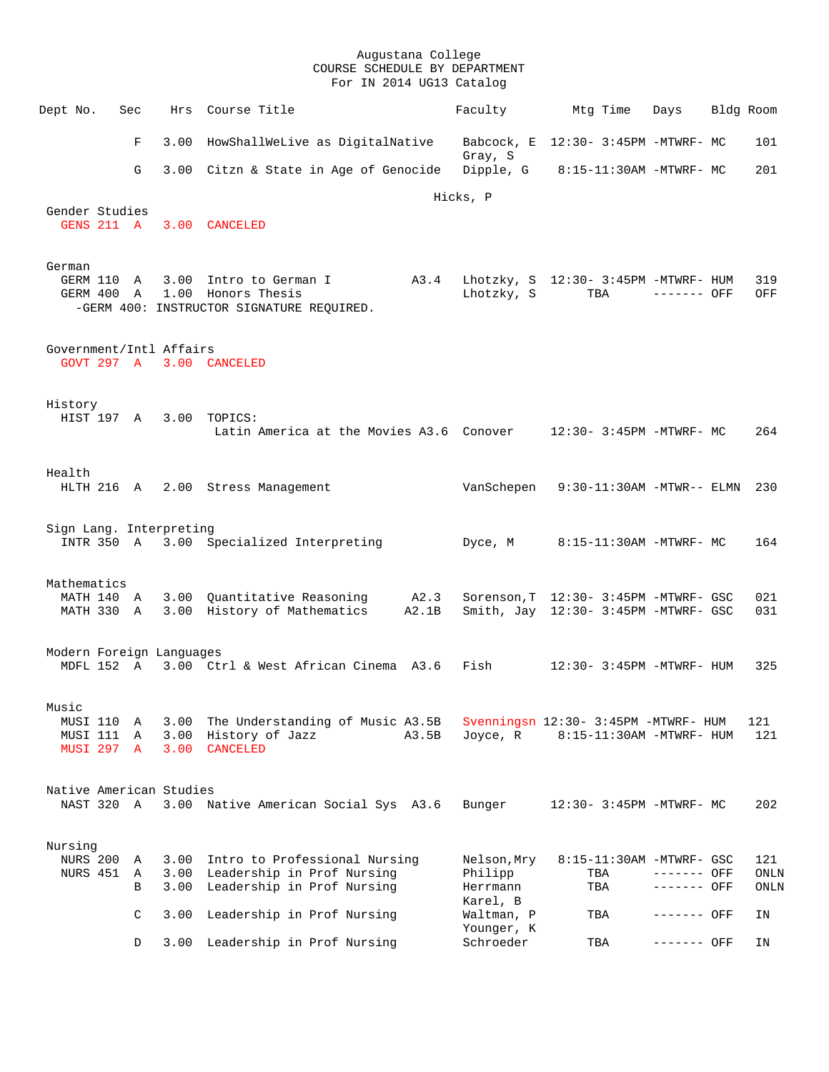| Dept No.                        | Sec                                           |                      | Hrs Course Title                                                                                             | Faculty                                        | Mtg Time                                                                      | Days                       | Bldg Room |                     |
|---------------------------------|-----------------------------------------------|----------------------|--------------------------------------------------------------------------------------------------------------|------------------------------------------------|-------------------------------------------------------------------------------|----------------------------|-----------|---------------------|
|                                 | F                                             |                      | 3.00 HowShallWeLive as DigitalNative                                                                         | Gray, S                                        | Babcock, E 12:30- 3:45PM -MTWRF- MC                                           |                            |           | 101                 |
|                                 | G                                             |                      | 3.00 Citzn & State in Age of Genocide                                                                        |                                                | Dipple, $G = 8:15-11:30AM - MTWRF - MC$                                       |                            |           | 201                 |
|                                 |                                               |                      |                                                                                                              | Hicks, P                                       |                                                                               |                            |           |                     |
| Gender Studies                  |                                               |                      | GENS 211 A 3.00 CANCELED                                                                                     |                                                |                                                                               |                            |           |                     |
| German                          | GERM 110 A                                    |                      | 3.00 Intro to German I<br>A3.4<br>GERM 400 A 1.00 Honors Thesis<br>-GERM 400: INSTRUCTOR SIGNATURE REQUIRED. | Lhotzky, S                                     | Lhotzky, S 12:30- 3:45PM -MTWRF- HUM<br>TBA                                   | $------$ OFF               |           | 319<br>OFF          |
| Government/Intl Affairs         |                                               |                      | GOVT 297 A 3.00 CANCELED                                                                                     |                                                |                                                                               |                            |           |                     |
| History                         |                                               |                      | HIST 197 A 3.00 TOPICS:<br>Latin America at the Movies A3.6 Conover 12:30-3:45PM -MTWRF- MC                  |                                                |                                                                               |                            |           | 264                 |
| Health                          |                                               |                      | HLTH 216 A 2.00 Stress Management                                                                            |                                                | VanSchepen 9:30-11:30AM -MTWR-- ELMN                                          |                            |           | 230                 |
| Sign Lang. Interpreting         |                                               |                      | INTR 350 A 3.00 Specialized Interpreting                                                                     | Dyce, M                                        | 8:15-11:30AM -MTWRF- MC                                                       |                            |           | 164                 |
| Mathematics                     | MATH 140 A<br>MATH 330 A                      |                      | 3.00 Quantitative Reasoning<br>A2.3<br>A2.1B<br>3.00 History of Mathematics                                  |                                                | Sorenson, T 12:30- 3:45PM -MTWRF- GSC<br>Smith, Jay 12:30- 3:45PM -MTWRF- GSC |                            |           | 021<br>031          |
| Modern Foreign Languages        |                                               |                      | MDFL 152 A 3.00 Ctrl & West African Cinema A3.6                                                              |                                                | $Fish$ $12:30-3:45PM$ -MTWRF- HUM                                             |                            |           | 325                 |
| Music                           | MUSI 110 A<br>MUSI 111 A<br><b>MUSI 297 A</b> | 3.00<br>3.00<br>3.00 | The Understanding of Music A3.5B<br>History of Jazz<br>A3.5B<br><b>CANCELED</b>                              | Joyce, R                                       | Svenningsn 12:30- 3:45PM -MTWRF- HUM<br>8:15-11:30AM -MTWRF- HUM              |                            |           | 121<br>121          |
| Native American Studies         | NAST 320 A                                    |                      | 3.00 Native American Social Sys A3.6                                                                         | Bunger                                         | 12:30- 3:45PM -MTWRF- MC                                                      |                            |           | 202                 |
| Nursing<br>NURS 200<br>NURS 451 | A<br>Α<br>В                                   | 3.00<br>3.00<br>3.00 | Intro to Professional Nursing<br>Leadership in Prof Nursing<br>Leadership in Prof Nursing                    | Nelson, Mry<br>Philipp<br>Herrmann<br>Karel, B | 8:15-11:30AM -MTWRF- GSC<br>TBA<br>TBA                                        | ------- OFF<br>------- OFF |           | 121<br>ONLN<br>ONLN |
|                                 | C                                             | 3.00                 | Leadership in Prof Nursing                                                                                   | Waltman, P                                     | TBA                                                                           | ------- OFF                |           | ΙN                  |
|                                 | D                                             | 3.00                 | Leadership in Prof Nursing                                                                                   | Younger, K<br>Schroeder                        | TBA                                                                           | ------- OFF                |           | ΙN                  |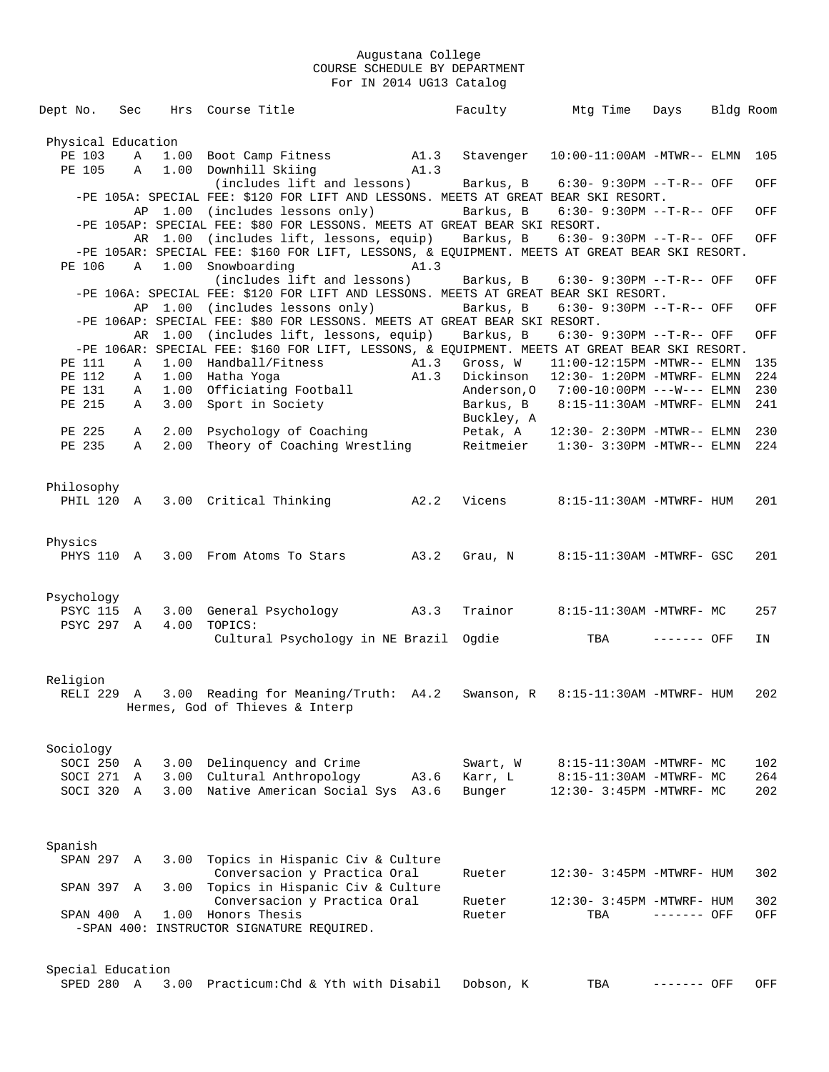| Dept No.           | Sec          |         | Hrs Course Title                                                                                                  |      | Faculty    | Mtq Time                                                          | Days        | Bldg Room  |
|--------------------|--------------|---------|-------------------------------------------------------------------------------------------------------------------|------|------------|-------------------------------------------------------------------|-------------|------------|
|                    |              |         |                                                                                                                   |      |            |                                                                   |             |            |
| Physical Education |              |         |                                                                                                                   |      |            |                                                                   |             |            |
| PE 103             | Α            | 1.00    | Boot Camp Fitness A1.3                                                                                            |      | Stavenger  | $10:00-11:00$ AM -MTWR-- ELMN                                     |             | 105        |
| PE 105             | $\mathbb{A}$ |         | 1.00 Downhill Skiing                                                                                              | A1.3 |            |                                                                   |             |            |
|                    |              |         | (includes lift and lessons)<br>-PE 105A: SPECIAL FEE: \$120 FOR LIFT AND LESSONS. MEETS AT GREAT BEAR SKI RESORT. |      | Barkus, B  | $6:30 - 9:30PM -T-R--OFF$                                         |             | OFF        |
|                    |              |         | AP 1.00 (includes lessons only)                                                                                   |      | Barkus, B  | 6:30- 9:30PM --T-R-- OFF                                          |             | OFF        |
|                    |              |         | -PE 105AP: SPECIAL FEE: \$80 FOR LESSONS. MEETS AT GREAT BEAR SKI RESORT.                                         |      |            |                                                                   |             |            |
|                    |              |         | AR 1.00 (includes lift, lessons, equip)                                                                           |      | Barkus, B  | 6:30- 9:30PM --T-R-- OFF                                          |             | OFF        |
|                    |              |         | -PE 105AR: SPECIAL FEE: \$160 FOR LIFT, LESSONS, & EQUIPMENT. MEETS AT GREAT BEAR SKI RESORT.                     |      |            |                                                                   |             |            |
| PE 106             | A            |         | 1.00 Snowboarding                                                                                                 | A1.3 |            |                                                                   |             |            |
|                    |              |         | (includes lift and lessons)                                                                                       |      | Barkus, B  | 6:30- 9:30PM --T-R-- OFF                                          |             | OFF        |
|                    |              |         | -PE 106A: SPECIAL FEE: \$120 FOR LIFT AND LESSONS. MEETS AT GREAT BEAR SKI RESORT.                                |      |            |                                                                   |             |            |
|                    |              |         | AP 1.00 (includes lessons only)                                                                                   |      | Barkus, B  | $6:30 - 9:30PM -T-R--OFF$                                         |             | OFF        |
|                    |              |         | -PE 106AP: SPECIAL FEE: \$80 FOR LESSONS. MEETS AT GREAT BEAR SKI RESORT.                                         |      |            |                                                                   |             |            |
|                    |              | AR 1.00 | (includes lift, lessons, equip)                                                                                   |      | Barkus, B  | 6:30- 9:30PM --T-R-- OFF                                          |             | OFF        |
|                    |              |         | -PE 106AR: SPECIAL FEE: \$160 FOR LIFT, LESSONS, & EQUIPMENT. MEETS AT GREAT BEAR SKI RESORT.                     |      |            |                                                                   |             |            |
| PE 111             | Α            |         | 1.00 Handball/Fitness                                                                                             | A1.3 | Gross, W   | $11:00-12:15PM -MTWR-- ELMN$                                      |             | 135        |
| PE 112             | A            |         | 1.00 Hatha Yoga                                                                                                   | A1.3 | Dickinson  | $12:30 - 1:20PM -MTWRF - ELMN$                                    |             | 224        |
| PE 131             | Α            |         | 1.00 Officiating Football                                                                                         |      |            | Anderson, 0 7:00-10:00PM ---W--- ELMN                             |             | 230        |
| PE 215             | Α            | 3.00    | Sport in Society                                                                                                  |      | Barkus, B  | 8:15-11:30AM -MTWRF- ELMN                                         |             | 241        |
|                    |              |         |                                                                                                                   |      | Buckley, A |                                                                   |             |            |
| PE 225<br>PE 235   | Α<br>Α       | 2.00    | Psychology of Coaching<br>Theory of Coaching Wrestling                                                            |      | Petak, A   | 12:30- 2:30PM -MTWR-- ELMN<br>Reitmeier 1:30- 3:30PM -MTWR-- ELMN |             | 230<br>224 |
|                    |              | 2.00    |                                                                                                                   |      |            |                                                                   |             |            |
|                    |              |         |                                                                                                                   |      |            |                                                                   |             |            |
| Philosophy         |              |         |                                                                                                                   |      |            |                                                                   |             |            |
|                    |              |         | A2.2<br>PHIL 120 A 3.00 Critical Thinking                                                                         |      | Vicens     | 8:15-11:30AM -MTWRF- HUM                                          |             | 201        |
|                    |              |         |                                                                                                                   |      |            |                                                                   |             |            |
|                    |              |         |                                                                                                                   |      |            |                                                                   |             |            |
| Physics            |              |         |                                                                                                                   |      |            |                                                                   |             |            |
| PHYS 110 A         |              |         | 3.00 From Atoms To Stars A3.2                                                                                     |      | Grau, N    | 8:15-11:30AM -MTWRF- GSC                                          |             | 201        |
|                    |              |         |                                                                                                                   |      |            |                                                                   |             |            |
|                    |              |         |                                                                                                                   |      |            |                                                                   |             |            |
| Psychology         |              |         |                                                                                                                   |      |            |                                                                   |             |            |
| PSYC 115 A         |              | 3.00    | General Psychology A3.3                                                                                           |      | Trainor    | 8:15-11:30AM -MTWRF- MC                                           |             | 257        |
| PSYC 297 A         |              | 4.00    | TOPICS:                                                                                                           |      |            |                                                                   |             |            |
|                    |              |         | Cultural Psychology in NE Brazil                                                                                  |      | Oqdie      | TBA                                                               | ------- OFF | IN         |
|                    |              |         |                                                                                                                   |      |            |                                                                   |             |            |
| Religion           |              |         |                                                                                                                   |      |            |                                                                   |             |            |
|                    |              |         | RELI 229 A 3.00 Reading for Meaning/Truth: A4.2                                                                   |      | Swanson, R | 8:15-11:30AM -MTWRF- HUM                                          |             | 202        |
|                    |              |         | Hermes, God of Thieves & Interp                                                                                   |      |            |                                                                   |             |            |
|                    |              |         |                                                                                                                   |      |            |                                                                   |             |            |
|                    |              |         |                                                                                                                   |      |            |                                                                   |             |            |
| Sociology          |              |         |                                                                                                                   |      |            |                                                                   |             |            |
| SOCI 250           | A            |         | 3.00 Delinquency and Crime                                                                                        |      | Swart, W   | 8:15-11:30AM -MTWRF- MC                                           |             | 102        |
| SOCI 271           | A            |         | 3.00 Cultural Anthropology                                                                                        | A3.6 | Karr, L    | 8:15-11:30AM -MTWRF- MC                                           |             | 264        |
| SOCI 320           | A            |         | 3.00 Native American Social Sys                                                                                   | A3.6 | Bunger     | 12:30- 3:45PM -MTWRF- MC                                          |             | 202        |
|                    |              |         |                                                                                                                   |      |            |                                                                   |             |            |
|                    |              |         |                                                                                                                   |      |            |                                                                   |             |            |
| Spanish            |              |         |                                                                                                                   |      |            |                                                                   |             |            |
| SPAN 297           | A            | 3.00    | Topics in Hispanic Civ & Culture                                                                                  |      |            |                                                                   |             |            |
|                    |              |         | Conversacion y Practica Oral                                                                                      |      | Rueter     | 12:30- 3:45PM -MTWRF- HUM                                         |             | 302        |
| SPAN 397           | Α            | 3.00    | Topics in Hispanic Civ & Culture                                                                                  |      |            |                                                                   |             |            |
|                    |              |         | Conversacion y Practica Oral                                                                                      |      | Rueter     | 12:30- 3:45PM -MTWRF- HUM                                         |             | 302        |
| SPAN 400           | Α            | 1.00    | Honors Thesis                                                                                                     |      | Rueter     | TBA                                                               | ------- OFF | OFF        |
|                    |              |         | -SPAN 400: INSTRUCTOR SIGNATURE REQUIRED.                                                                         |      |            |                                                                   |             |            |
|                    |              |         |                                                                                                                   |      |            |                                                                   |             |            |
|                    |              |         |                                                                                                                   |      |            |                                                                   |             |            |
| Special Education  |              |         |                                                                                                                   |      |            |                                                                   |             |            |
| SPED 280 A         |              |         | 3.00 Practicum: Chd & Yth with Disabil                                                                            |      | Dobson, K  | TBA                                                               | ------- OFF | OFF        |